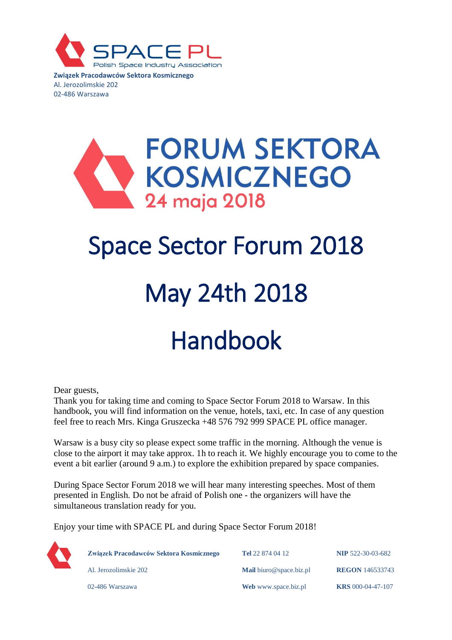

**Związek Pracodawców Sektora Kosmicznego** Al. Jerozolimskie 202 02-486 Warszawa

### **FORUM SEKTORA KOSMICZNEGO** 24 maja 2018

### Space Sector Forum 2018

# May 24th 2018

## Handbook

Dear guests,

Thank you for taking time and coming to Space Sector Forum 2018 to Warsaw. In this handbook, you will find information on the venue, hotels, taxi, etc. In case of any question feel free to reach Mrs. Kinga Gruszecka +48 576 792 999 SPACE PL office manager.

Warsaw is a busy city so please expect some traffic in the morning. Although the venue is close to the airport it may take approx. 1h to reach it. We highly encourage you to come to the event a bit earlier (around 9 a.m.) to explore the exhibition prepared by space companies.

During Space Sector Forum 2018 we will hear many interesting speeches. Most of them presented in English. Do not be afraid of Polish one - the organizers will have the simultaneous translation ready for you.

Enjoy your time with SPACE PL and during Space Sector Forum 2018!



| Związek Pracodawców Sektora Kosmicznego | <b>Tel</b> 22 874 04 12         | <b>NIP 522-30-03-682</b> |
|-----------------------------------------|---------------------------------|--------------------------|
| Al. Jerozolimskie 202                   | <b>Mail</b> biuro @space.biz.pl | <b>REGON 146533743</b>   |
| 02-486 Warszawa                         | Web www.space.biz.pl            | <b>KRS</b> 000-04-47-107 |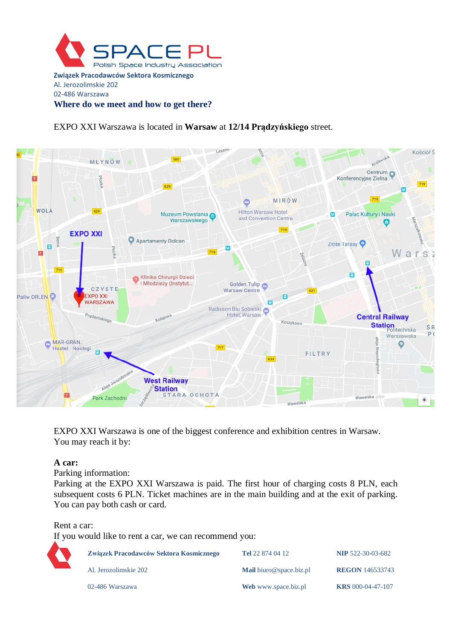

EXPO XXI Warszawa is located in **Warsaw** at **12/14 Prądzyńskiego** street.



EXPO XXI Warszawa is one of the biggest conference and exhibition centres in Warsaw. You may reach it by:

#### **A car:**

Parking information:

Parking at the EXPO XXI Warszawa is paid. The first hour of charging costs 8 PLN, each subsequent costs 6 PLN. Ticket machines are in the main building and at the exit of parking. You can pay both cash or card.

Rent a car:

If you would like to rent a car, we can recommend you:

| Związek Pracodawców Sektora Kosmicznego | <b>Tel</b> 22 874 04 12         | <b>NIP 522-30-03-682</b> |
|-----------------------------------------|---------------------------------|--------------------------|
| Al. Jerozolimskie 202                   | <b>Mail</b> biuro @space.biz.pl | <b>REGON</b> 146533743   |
| 02-486 Warszawa                         | Web www.space.biz.pl            | <b>KRS</b> 000-04-47-107 |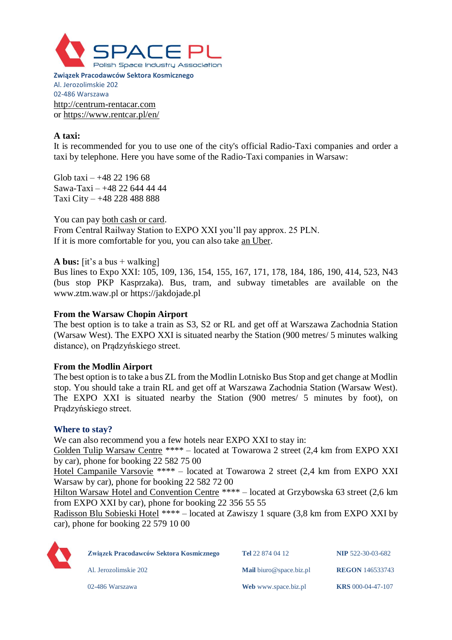

**Związek Pracodawców Sektora Kosmicznego** Al. Jerozolimskie 202 02-486 Warszawa [http://centrum-rentacar.com](http://centrum-rentacar.com/) or<https://www.rentcar.pl/en/>

#### **A taxi:**

It is recommended for you to use one of the city's official Radio-Taxi companies and order a taxi by telephone. Here you have some of the Radio-Taxi companies in Warsaw:

Glob taxi –  $+48$  22 196 68 Sawa-Taxi – +48 22 644 44 44 Taxi City – +48 228 488 888

You can pay both cash or card. From Central Railway Station to EXPO XXI you'll pay approx. 25 PLN. If it is more comfortable for you, you can also take an Uber.

**A bus:**  $[it's a bus + walking]$ 

Bus lines to Expo XXI: 105, 109, 136, 154, 155, 167, 171, 178, 184, 186, 190, 414, 523, N43 (bus stop PKP Kasprzaka). Bus, tram, and subway timetables are available on the [www.ztm.waw.pl](http://www.ztm.waw.pl/) or [https://jakdojade.pl](https://jakdojade.pl/)

#### **From the Warsaw Chopin Airport**

The best option is to take a train as S3, S2 or RL and get off at Warszawa Zachodnia Station (Warsaw West). The EXPO XXI is situated nearby the Station (900 metres/ 5 minutes walking distance), on Prądzyńskiego street.

#### **From the Modlin Airport**

The best option is to take a bus ZL from the Modlin Lotnisko Bus Stop and get change at Modlin stop. You should take a train RL and get off at Warszawa Zachodnia Station (Warsaw West). The EXPO XXI is situated nearby the Station (900 metres/ 5 minutes by foot), on Prądzyńskiego street.

#### **Where to stay?**

We can also recommend you a few hotels near EXPO XXI to stay in:

[Golden Tulip Warsaw Centre](http://www.goldentulipwarsawcentre.com/en) \*\*\*\* – located at Towarowa 2 street (2,4 km from EXPO XXI by car), phone for booking 22 582 75 00

[Hotel Campanile Varsovie](https://www.campanile.com/en/hotels/campanile-varsovie-warszawa) \*\*\*\* – located at Towarowa 2 street (2,4 km from EXPO XXI Warsaw by car), phone for booking 22 582 72 00

[Hilton Warsaw Hotel and Convention Centre](http://www3.hilton.com/en/hotels/poland/hilton-warsaw-hotel-and-convention-centre-WAWHIHI/index.html) \*\*\*\* – located at Grzybowska 63 street (2,6 km from EXPO XXI by car), phone for booking 22 356 55 55

[Radisson Blu Sobieski Hotel](https://www.radissonblu.com/en/sobieski-warsaw) \*\*\*\* – located at Zawiszy 1 square (3,8 km from EXPO XXI by car), phone for booking 22 579 10 00



| Związek Pracodawców Sektora Kosmicznego | <b>Tel</b> 22 874 04 12 | <b>NIP 522-30-03-682</b> |
|-----------------------------------------|-------------------------|--------------------------|
| Al. Jerozolimskie 202                   | Mail biuro@space.biz.pl | <b>REGON 146533743</b>   |
| 02-486 Warszawa                         | Web www.space.biz.pl    | <b>KRS</b> 000-04-47-107 |